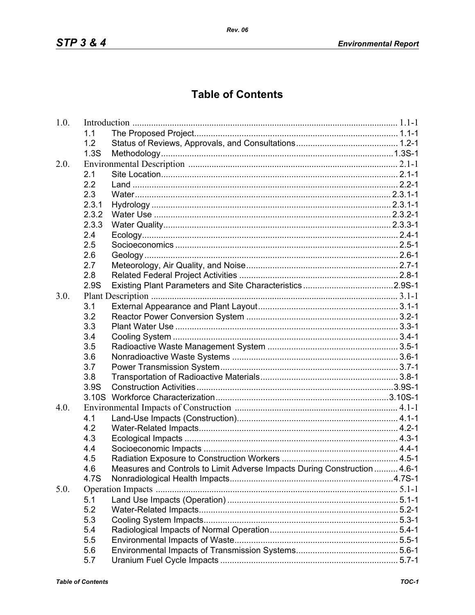## **Table of Contents**

| 1.0. |                   |                                                                           |  |
|------|-------------------|---------------------------------------------------------------------------|--|
|      | 1.1               |                                                                           |  |
|      | 1.2               |                                                                           |  |
|      | 1.3S              |                                                                           |  |
| 2.0. |                   |                                                                           |  |
|      | 2.1               |                                                                           |  |
|      | 2.2               |                                                                           |  |
|      | 2.3               |                                                                           |  |
|      | 2.3.1             |                                                                           |  |
|      | 2.3.2             |                                                                           |  |
|      | 2.3.3             |                                                                           |  |
|      | 2.4               |                                                                           |  |
|      | 2.5               |                                                                           |  |
|      | 2.6               |                                                                           |  |
|      | 2.7               |                                                                           |  |
|      | 2.8               |                                                                           |  |
|      | 2.9S              |                                                                           |  |
| 3.0. |                   |                                                                           |  |
|      | 3.1               |                                                                           |  |
|      | 3.2               |                                                                           |  |
|      | 3.3               |                                                                           |  |
|      | 3.4               |                                                                           |  |
|      | 3.5               |                                                                           |  |
|      | 3.6               |                                                                           |  |
|      | 3.7               |                                                                           |  |
|      | 3.8               |                                                                           |  |
|      | 3.9S              |                                                                           |  |
|      | 3.10 <sub>S</sub> |                                                                           |  |
| 4.0. |                   |                                                                           |  |
|      | 4.1               |                                                                           |  |
|      | 4.2               |                                                                           |  |
|      | 4.3               |                                                                           |  |
|      | 4.4               |                                                                           |  |
|      | 4.5               |                                                                           |  |
|      | 4.6               | Measures and Controls to Limit Adverse Impacts During Construction  4.6-1 |  |
|      | 4.7S              |                                                                           |  |
| 5.0. |                   |                                                                           |  |
|      | 5.1               |                                                                           |  |
|      | 5.2               |                                                                           |  |
|      | 5.3               |                                                                           |  |
|      | 5.4               |                                                                           |  |
|      | 5.5               |                                                                           |  |
|      | 5.6               |                                                                           |  |
|      | 5.7               |                                                                           |  |
|      |                   |                                                                           |  |